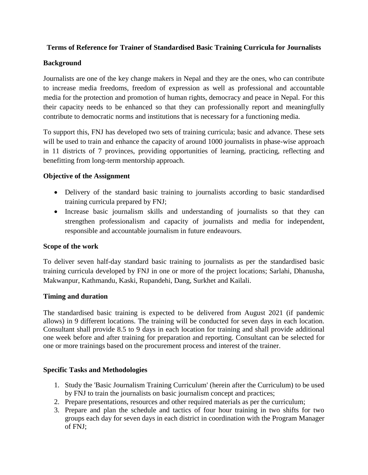## **Terms of Reference for Trainer of Standardised Basic Training Curricula for Journalists**

## **Background**

Journalists are one of the key change makers in Nepal and they are the ones, who can contribute to increase media freedoms, freedom of expression as well as professional and accountable media for the protection and promotion of human rights, democracy and peace in Nepal. For this their capacity needs to be enhanced so that they can professionally report and meaningfully contribute to democratic norms and institutions that is necessary for a functioning media.

To support this, FNJ has developed two sets of training curricula; basic and advance. These sets will be used to train and enhance the capacity of around 1000 journalists in phase-wise approach in 11 districts of 7 provinces, providing opportunities of learning, practicing, reflecting and benefitting from long-term mentorship approach.

# **Objective of the Assignment**

- Delivery of the standard basic training to journalists according to basic standardised training curricula prepared by FNJ;
- Increase basic journalism skills and understanding of journalists so that they can strengthen professionalism and capacity of journalists and media for independent, responsible and accountable journalism in future endeavours.

### **Scope of the work**

To deliver seven half-day standard basic training to journalists as per the standardised basic training curricula developed by FNJ in one or more of the project locations; Sarlahi, Dhanusha, Makwanpur, Kathmandu, Kaski, Rupandehi, Dang, Surkhet and Kailali.

### **Timing and duration**

The standardised basic training is expected to be delivered from August 2021 (if pandemic allows) in 9 different locations. The training will be conducted for seven days in each location. Consultant shall provide 8.5 to 9 days in each location for training and shall provide additional one week before and after training for preparation and reporting. Consultant can be selected for one or more trainings based on the procurement process and interest of the trainer.

### **Specific Tasks and Methodologies**

- 1. Study the 'Basic Journalism Training Curriculum' (herein after the Curriculum) to be used by FNJ to train the journalists on basic journalism concept and practices;
- 2. Prepare presentations, resources and other required materials as per the curriculum;
- 3. Prepare and plan the schedule and tactics of four hour training in two shifts for two groups each day for seven days in each district in coordination with the Program Manager of FNJ;